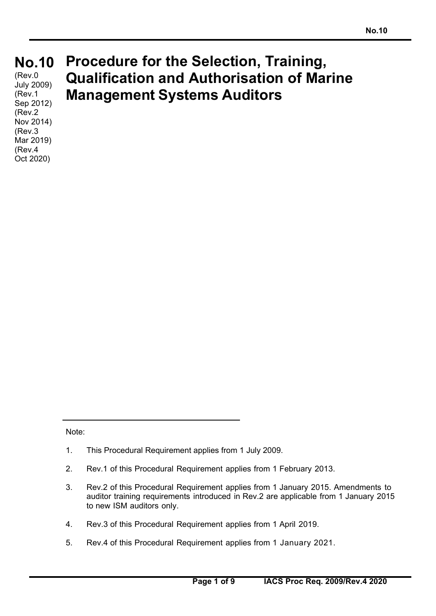# **No.10 No.10**

(Rev.0) July 2009) (Rev.1 Sep 2012) (Rev.2 Nov 2014) (Rev.3 Mar 2019) (Rev.4 Oct 2020)

# **Procedure for the Selection, Training, Qualification and Authorisation of Marine Management Systems Auditors**

Note:

- 1. This Procedural Requirement applies from 1 July 2009.
- 2. Rev.1 of this Procedural Requirement applies from 1 February 2013.
- 3. Rev.2 of this Procedural Requirement applies from 1 January 2015. Amendments to auditor training requirements introduced in Rev.2 are applicable from 1 January 2015 to new ISM auditors only.
- 4. Rev.3 of this Procedural Requirement applies from 1 April 2019.
- 5. Rev.4 of this Procedural Requirement applies from 1 January 2021.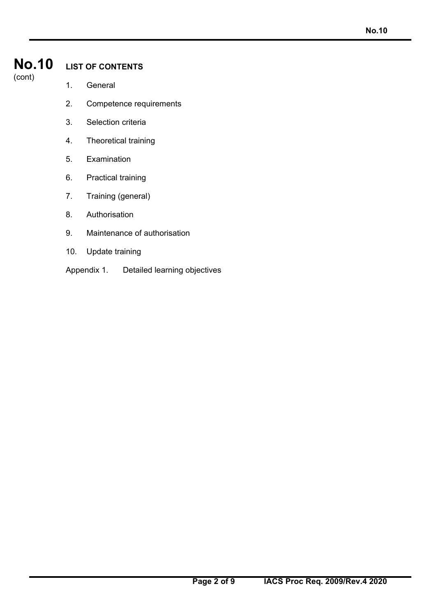# **No.10**

### (cont)

# **LIST OF CONTENTS**

- 1. General
- 2. Competence requirements
- 3. Selection criteria
- 4. Theoretical training
- 5. Examination
- 6. Practical training
- 7. Training (general)
- 8. Authorisation
- 9. Maintenance of authorisation
- 10. Update training
- Appendix 1. Detailed learning objectives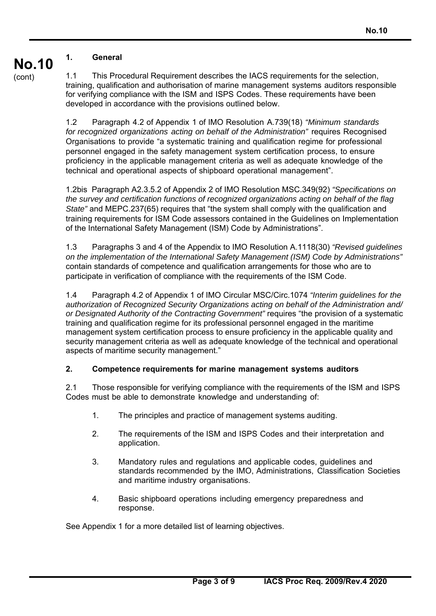#### **No.10 1. General**

(cont)

1.1 This Procedural Requirement describes the IACS requirements for the selection, training, qualification and authorisation of marine management systems auditors responsible for verifying compliance with the ISM and ISPS Codes. These requirements have been developed in accordance with the provisions outlined below.

1.2 Paragraph 4.2 of Appendix 1 of IMO Resolution A.739(18) *"Minimum standards for recognized organizations acting on behalf of the Administration"* requires Recognised Organisations to provide "a systematic training and qualification regime for professional personnel engaged in the safety management system certification process, to ensure proficiency in the applicable management criteria as well as adequate knowledge of the technical and operational aspects of shipboard operational management".

1.2bis Paragraph A2.3.5.2 of Appendix 2 of IMO Resolution MSC.349(92) *"Specifications on the survey and certification functions of recognized organizations acting on behalf of the flag State"* and MEPC.237(65) requires that "the system shall comply with the qualification and training requirements for ISM Code assessors contained in the Guidelines on Implementation of the International Safety Management (ISM) Code by Administrations".

1.3 Paragraphs 3 and 4 of the Appendix to IMO Resolution A.1118(30) *"Revised guidelines on the implementation of the International Safety Management (ISM) Code by Administrations"* contain standards of competence and qualification arrangements for those who are to participate in verification of compliance with the requirements of the ISM Code.

1.4 Paragraph 4.2 of Appendix 1 of IMO Circular MSC/Circ.1074 *"Interim guidelines for the authorization of Recognized Security Organizations acting on behalf of the Administration and/ or Designated Authority of the Contracting Government"* requires "the provision of a systematic training and qualification regime for its professional personnel engaged in the maritime management system certification process to ensure proficiency in the applicable quality and security management criteria as well as adequate knowledge of the technical and operational aspects of maritime security management."

# **2. Competence requirements for marine management systems auditors**

2.1 Those responsible for verifying compliance with the requirements of the ISM and ISPS Codes must be able to demonstrate knowledge and understanding of:

- 1. The principles and practice of management systems auditing.
- 2. The requirements of the ISM and ISPS Codes and their interpretation and application.
- 3. Mandatory rules and regulations and applicable codes, guidelines and standards recommended by the IMO, Administrations, Classification Societies and maritime industry organisations.
- 4. Basic shipboard operations including emergency preparedness and response.

See Appendix 1 for a more detailed list of learning objectives.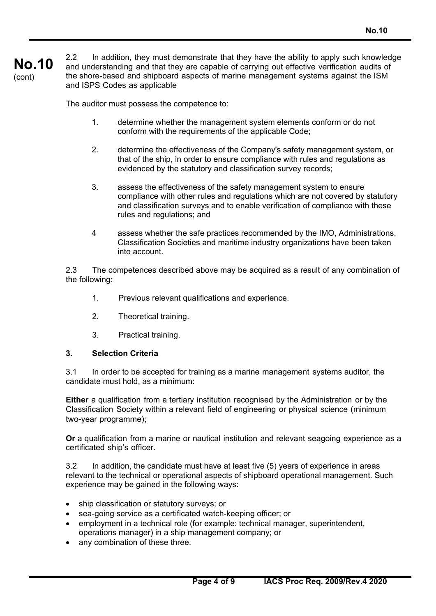#### **No.10**  (cont) 2.2 In addition, they must demonstrate that they have the ability to apply such knowledge and understanding and that they are capable of carrying out effective verification audits of the shore-based and shipboard aspects of marine management systems against the ISM and ISPS Codes as applicable

The auditor must possess the competence to:

- 1. determine whether the management system elements conform or do not conform with the requirements of the applicable Code;
- 2. determine the effectiveness of the Company's safety management system, or that of the ship, in order to ensure compliance with rules and regulations as evidenced by the statutory and classification survey records;
- 3. assess the effectiveness of the safety management system to ensure compliance with other rules and regulations which are not covered by statutory and classification surveys and to enable verification of compliance with these rules and regulations; and
- 4 assess whether the safe practices recommended by the IMO, Administrations, Classification Societies and maritime industry organizations have been taken into account.

2.3 The competences described above may be acquired as a result of any combination of the following:

- 1. Previous relevant qualifications and experience.
- 2. Theoretical training.
- 3. Practical training.

#### **3. Selection Criteria**

3.1 In order to be accepted for training as a marine management systems auditor, the candidate must hold, as a minimum:

**Either** a qualification from a tertiary institution recognised by the Administration or by the Classification Society within a relevant field of engineering or physical science (minimum two-year programme);

**Or** a qualification from a marine or nautical institution and relevant seagoing experience as a certificated ship's officer.

3.2 In addition, the candidate must have at least five (5) years of experience in areas relevant to the technical or operational aspects of shipboard operational management. Such experience may be gained in the following ways:

- ship classification or statutory surveys; or
- sea-going service as a certificated watch-keeping officer; or
- employment in a technical role (for example: technical manager, superintendent, operations manager) in a ship management company; or
- any combination of these three.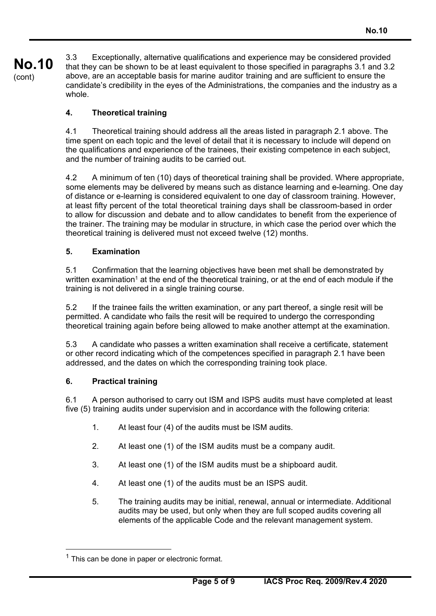**No.10**  (cont) 3.3 Exceptionally, alternative qualifications and experience may be considered provided that they can be shown to be at least equivalent to those specified in paragraphs 3.1 and 3.2 above, are an acceptable basis for marine auditor training and are sufficient to ensure the candidate's credibility in the eyes of the Administrations, the companies and the industry as a whole.

# **4. Theoretical training**

4.1 Theoretical training should address all the areas listed in paragraph 2.1 above. The time spent on each topic and the level of detail that it is necessary to include will depend on the qualifications and experience of the trainees, their existing competence in each subject, and the number of training audits to be carried out.

4.2 A minimum of ten (10) days of theoretical training shall be provided. Where appropriate, some elements may be delivered by means such as distance learning and e-learning. One day of distance or e-learning is considered equivalent to one day of classroom training. However, at least fifty percent of the total theoretical training days shall be classroom-based in order to allow for discussion and debate and to allow candidates to benefit from the experience of the trainer. The training may be modular in structure, in which case the period over which the theoretical training is delivered must not exceed twelve (12) months.

# **5. Examination**

5.1 Confirmation that the learning objectives have been met shall be demonstrated by written examination<sup>1</sup> at the end of the theoretical training, or at the end of each module if the training is not delivered in a single training course.

5.2 If the trainee fails the written examination, or any part thereof, a single resit will be permitted. A candidate who fails the resit will be required to undergo the corresponding theoretical training again before being allowed to make another attempt at the examination.

5.3 A candidate who passes a written examination shall receive a certificate, statement or other record indicating which of the competences specified in paragraph 2.1 have been addressed, and the dates on which the corresponding training took place.

# **6. Practical training**

6.1 A person authorised to carry out ISM and ISPS audits must have completed at least five (5) training audits under supervision and in accordance with the following criteria:

- 1. At least four (4) of the audits must be ISM audits.
- 2. At least one (1) of the ISM audits must be a company audit.
- 3. At least one (1) of the ISM audits must be a shipboard audit.
- 4. At least one (1) of the audits must be an ISPS audit.
- 5. The training audits may be initial, renewal, annual or intermediate. Additional audits may be used, but only when they are full scoped audits covering all elements of the applicable Code and the relevant management system.

 $<sup>1</sup>$  This can be done in paper or electronic format.</sup>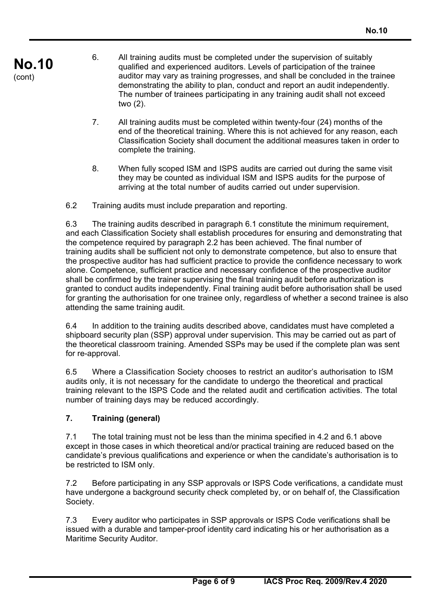- **No.10**  (cont)
- 6. All training audits must be completed under the supervision of suitably qualified and experienced auditors. Levels of participation of the trainee auditor may vary as training progresses, and shall be concluded in the trainee demonstrating the ability to plan, conduct and report an audit independently. The number of trainees participating in any training audit shall not exceed two (2).
- 7. All training audits must be completed within twenty-four (24) months of the end of the theoretical training. Where this is not achieved for any reason, each Classification Society shall document the additional measures taken in order to complete the training.
- 8. When fully scoped ISM and ISPS audits are carried out during the same visit they may be counted as individual ISM and ISPS audits for the purpose of arriving at the total number of audits carried out under supervision.
- 6.2 Training audits must include preparation and reporting.

6.3 The training audits described in paragraph 6.1 constitute the minimum requirement, and each Classification Society shall establish procedures for ensuring and demonstrating that the competence required by paragraph 2.2 has been achieved. The final number of training audits shall be sufficient not only to demonstrate competence, but also to ensure that the prospective auditor has had sufficient practice to provide the confidence necessary to work alone. Competence, sufficient practice and necessary confidence of the prospective auditor shall be confirmed by the trainer supervising the final training audit before authorization is granted to conduct audits independently. Final training audit before authorisation shall be used for granting the authorisation for one trainee only, regardless of whether a second trainee is also attending the same training audit.

6.4 In addition to the training audits described above, candidates must have completed a shipboard security plan (SSP) approval under supervision. This may be carried out as part of the theoretical classroom training. Amended SSPs may be used if the complete plan was sent for re-approval.

6.5 Where a Classification Society chooses to restrict an auditor's authorisation to ISM audits only, it is not necessary for the candidate to undergo the theoretical and practical training relevant to the ISPS Code and the related audit and certification activities. The total number of training days may be reduced accordingly.

# **7. Training (general)**

7.1 The total training must not be less than the minima specified in 4.2 and 6.1 above except in those cases in which theoretical and/or practical training are reduced based on the candidate's previous qualifications and experience or when the candidate's authorisation is to be restricted to ISM only.

7.2 Before participating in any SSP approvals or ISPS Code verifications, a candidate must have undergone a background security check completed by, or on behalf of, the Classification Society.

7.3 Every auditor who participates in SSP approvals or ISPS Code verifications shall be issued with a durable and tamper-proof identity card indicating his or her authorisation as a Maritime Security Auditor.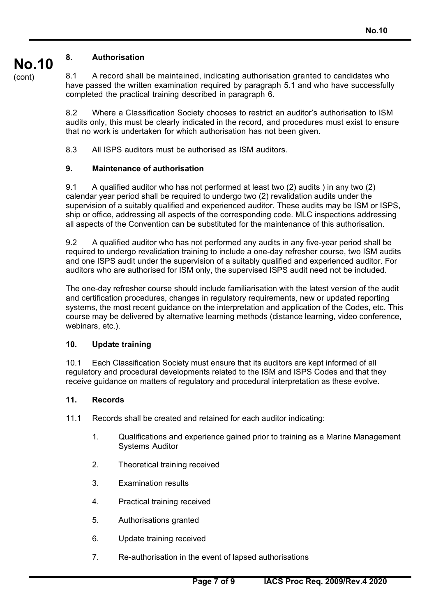#### **No.10 8. Authorisation**

(cont)

8.1 A record shall be maintained, indicating authorisation granted to candidates who have passed the written examination required by paragraph 5.1 and who have successfully completed the practical training described in paragraph 6.

8.2 Where a Classification Society chooses to restrict an auditor's authorisation to ISM audits only, this must be clearly indicated in the record, and procedures must exist to ensure that no work is undertaken for which authorisation has not been given.

8.3 All ISPS auditors must be authorised as ISM auditors.

### **9. Maintenance of authorisation**

9.1 A qualified auditor who has not performed at least two (2) audits ) in any two (2) calendar year period shall be required to undergo two (2) revalidation audits under the supervision of a suitably qualified and experienced auditor. These audits may be ISM or ISPS, ship or office, addressing all aspects of the corresponding code. MLC inspections addressing all aspects of the Convention can be substituted for the maintenance of this authorisation.

9.2 A qualified auditor who has not performed any audits in any five-year period shall be required to undergo revalidation training to include a one-day refresher course, two ISM audits and one ISPS audit under the supervision of a suitably qualified and experienced auditor. For auditors who are authorised for ISM only, the supervised ISPS audit need not be included.

The one-day refresher course should include familiarisation with the latest version of the audit and certification procedures, changes in regulatory requirements, new or updated reporting systems, the most recent guidance on the interpretation and application of the Codes, etc. This course may be delivered by alternative learning methods (distance learning, video conference, webinars, etc.).

### **10. Update training**

10.1 Each Classification Society must ensure that its auditors are kept informed of all regulatory and procedural developments related to the ISM and ISPS Codes and that they receive guidance on matters of regulatory and procedural interpretation as these evolve.

#### **11. Records**

11.1 Records shall be created and retained for each auditor indicating:

- 1. Qualifications and experience gained prior to training as a Marine Management Systems Auditor
- 2. Theoretical training received
- 3. Examination results
- 4. Practical training received
- 5. Authorisations granted
- 6. Update training received
- 7. Re-authorisation in the event of lapsed authorisations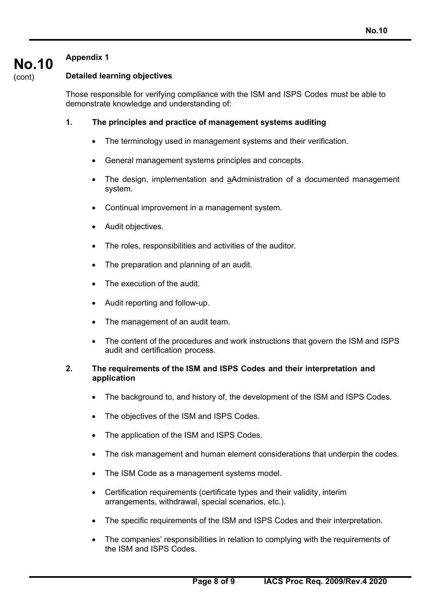# **Appendix 1**

**No.10** 

(cont)

# **Detailed learning objectives**

Those responsible for verifying compliance with the ISM and ISPS Codes must be able to demonstrate knowledge and understanding of:

### **1. The principles and practice of management systems auditing**

- The terminology used in management systems and their verification.
- General management systems principles and concepts.
- The design, implementation and aAdministration of a documented management system.
- Continual improvement in a management system.
- Audit objectives.
- The roles, responsibilities and activities of the auditor.
- The preparation and planning of an audit.
- The execution of the audit.
- Audit reporting and follow-up.
- The management of an audit team.
- The content of the procedures and work instructions that govern the ISM and ISPS audit and certification process.

#### **2. The requirements of the ISM and ISPS Codes and their interpretation and application**

- The background to, and history of, the development of the ISM and ISPS Codes.
- The objectives of the ISM and ISPS Codes.
- The application of the ISM and ISPS Codes.
- The risk management and human element considerations that underpin the codes.
- The ISM Code as a management systems model.
- Certification requirements (certificate types and their validity, interim arrangements, withdrawal, special scenarios, etc.).
- The specific requirements of the ISM and ISPS Codes and their interpretation.
- The companies' responsibilities in relation to complying with the requirements of the ISM and ISPS Codes.